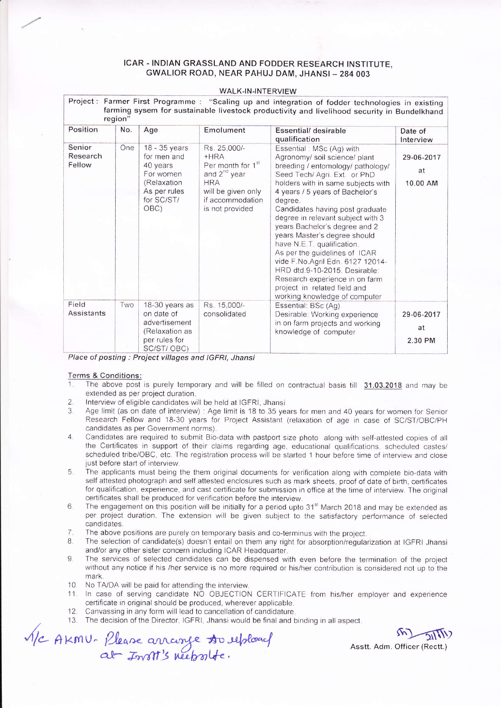## ICAR - INDIAN GRASSLAND AND FODDER RESEARCH INSTITUTE, GWALIOR ROAD, NEAR PAHUJ DAM, JHANSI - 284 003

## WALK-IN-INTERVIEW

| Project: Farmer First Programme: "Scaling up and integration of fodder technologies in existing<br>farming sysem for sustainable livestock productivity and livelihood security in Bundelkhand<br>region" |     |                                                                                                             |                                                                                                                                                                |                                                                                                                                                                                                                                                                                                                                                                                                                                                                                                                                                                                                    |                              |  |  |  |
|-----------------------------------------------------------------------------------------------------------------------------------------------------------------------------------------------------------|-----|-------------------------------------------------------------------------------------------------------------|----------------------------------------------------------------------------------------------------------------------------------------------------------------|----------------------------------------------------------------------------------------------------------------------------------------------------------------------------------------------------------------------------------------------------------------------------------------------------------------------------------------------------------------------------------------------------------------------------------------------------------------------------------------------------------------------------------------------------------------------------------------------------|------------------------------|--|--|--|
| Position                                                                                                                                                                                                  | No. | Age                                                                                                         | Emolument                                                                                                                                                      | Essential/ desirable<br>qualification                                                                                                                                                                                                                                                                                                                                                                                                                                                                                                                                                              | Date of<br>Interview         |  |  |  |
| Senior<br>Research<br>Fellow                                                                                                                                                                              | One | 18 - 35 years<br>for men and<br>40 years<br>For women<br>(Relaxation)<br>As per rules<br>for SC/ST/<br>OBC) | Rs. 25,000/-<br>$+HRA$<br>Per month for 1 <sup>st</sup><br>and 2 <sup>nd</sup> year<br><b>HRA</b><br>will be given only<br>if accommodation<br>is not provided | Essential: MSc (Ag) with<br>Agronomy/ soil science/ plant<br>breeding / entomology/ pathology/<br>Seed Tech/ Agri. Ext. or PhD<br>holders with in same subjects with<br>4 years / 5 years of Bachelor's<br>degree.<br>Candidates having post graduate<br>degree in relevant subject with 3<br>years Bachelor's degree and 2<br>years Master's degree should<br>have N.E.T. qualification.<br>As per the guidelines of ICAR<br>vide F.No.Agril Edn. 6127 12014-<br>HRD dtd.9-10-2015. Desirable:<br>Research experience in on farm<br>project in related field and<br>working knowledge of computer | 29-06-2017<br>at<br>10.00 AM |  |  |  |
| Field<br>Assistants                                                                                                                                                                                       | Two | 18-30 years as<br>on date of<br>advertisement<br>(Relaxation as<br>per rules for<br>SC/ST/OBC)              | Rs. 15,000/-<br>consolidated                                                                                                                                   | Essential: BSc (Ag)<br>Desirable: Working experience<br>in on farm projects and working<br>knowledge of computer                                                                                                                                                                                                                                                                                                                                                                                                                                                                                   | 29-06-2017<br>at<br>2.30 PM  |  |  |  |

Place af posting : Project villages and lGFRl, Jhansi

- Terms & Conditions:<br>1. The above post is purely temporary and will be filled on contractual basis till 31.03.2018 and may be extended as per project duration.
- 2. Interview of eligible candidates will be held at IGFRI, Jhansi  $\frac{3}{2}$  Age limit is 18 to 35 ye
- Age limit (as on date of interview) : Age limit is 18 to 35 years for men and 40 years for women for Senior Research Fellow and 18-30 years for Project Assistant (relaxation of age in case of SC/ST/OBC/PH candidates as per Government norms).
- 4. Candidates are required to submit Bio-data with pastport size photo along with self-attested copies of all the Certificates in support of their claims regarding age, educational qualifications, scheduled castes/ scheduled tribe/OBC, etc. The registration process will be started 1 hour before time of interview and close just before start of interview.
- 5. The applicants must being the them original documents for verification along with complete bio-data with seif attested photograph and self attested enclosures such as mark sheets, proof of date of birth, certificates for qualification, experience, and cast certificate for submission in office at the time of interview. The original certificates shall be produced for verification before the interview.
- 6. The engagement on this position will be initially for a period upto 31<sup>st</sup> March 2018 and may be extended as per project duration. The extension will be given subject to the satisfactory performance of selected candidates.
- 7. The above positions are purely on temporary basis and co-terminus with the project.<br>8. The selection of candidate(s) doesn't entail on them any right for absorption/requisition
- The selection of candidate(s) doesn't entail on them any right for absorption/regularization at IGFRI Jhansi and/or any other sister concern including ICAR Headquarter.
- 9. The services of selected candidates can be dispensed with even before the termination of the project without any notice if his /her service is no more required or his/her contribution is considered not up to the mark.
- $10$ No TA/DA will be paid for attending the interview.
- 11 In case of serving candidate NO OBJECTION CERTIFICATE from his/her employer and experience certificate in original should be produced, wherever applicable.
- 12 Canvassinq in any form will ead to cancellation of candidature
- 13. The decision of the Director, IGFRI, Jhansi would be final and binding in all aspect. The decision of the Director, IGFRI, Jhansi would be final and binding in all aspect.<br>Let  $\mathcal{D}_{\text{max}}(\mathbf{h}) = \mathcal{D}(\mathbf{h})$

kmu. Please arrange **s**ouepload al-Insti's neepsolte. 4/c AKMU- Please arrange to replaced Assit Adm. Officer (Rectt.)